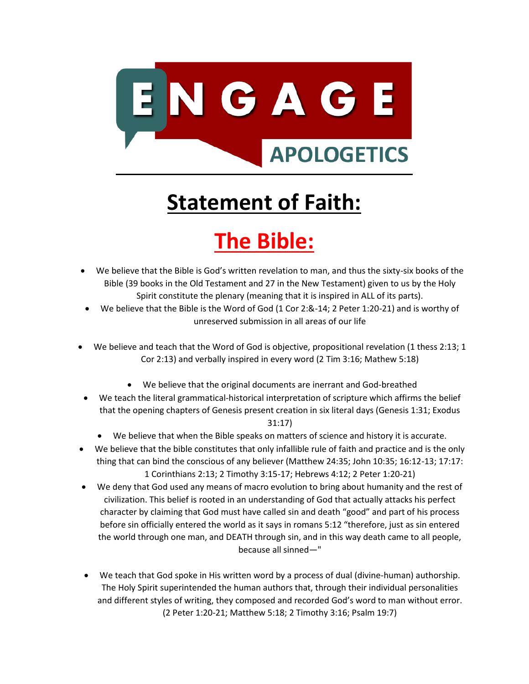

# **Statement of Faith:**

# **The Bible:**

- We believe that the Bible is God's written revelation to man, and thus the sixty-six books of the Bible (39 books in the Old Testament and 27 in the New Testament) given to us by the Holy Spirit constitute the plenary (meaning that it is inspired in ALL of its parts).
- We believe that the Bible is the Word of God (1 Cor 2:&-14; 2 Peter 1:20-21) and is worthy of unreserved submission in all areas of our life
- We believe and teach that the Word of God is objective, propositional revelation (1 thess 2:13; 1 Cor 2:13) and verbally inspired in every word (2 Tim 3:16; Mathew 5:18)
	- We believe that the original documents are inerrant and God-breathed
- We teach the literal grammatical-historical interpretation of scripture which affirms the belief that the opening chapters of Genesis present creation in six literal days (Genesis 1:31; Exodus 31:17)
	- We believe that when the Bible speaks on matters of science and history it is accurate.
- We believe that the bible constitutes that only infallible rule of faith and practice and is the only thing that can bind the conscious of any believer (Matthew 24:35; John 10:35; 16:12-13; 17:17: 1 Corinthians 2:13; 2 Timothy 3:15-17; Hebrews 4:12; 2 Peter 1:20-21)
- We deny that God used any means of macro evolution to bring about humanity and the rest of civilization. This belief is rooted in an understanding of God that actually attacks his perfect character by claiming that God must have called sin and death "good" and part of his process before sin officially entered the world as it says in romans 5:12 "therefore, just as sin entered the world through one man, and DEATH through sin, and in this way death came to all people, because all sinned—"
- We teach that God spoke in His written word by a process of dual (divine-human) authorship. The Holy Spirit superintended the human authors that, through their individual personalities and different styles of writing, they composed and recorded God's word to man without error. (2 Peter 1:20-21; Matthew 5:18; 2 Timothy 3:16; Psalm 19:7)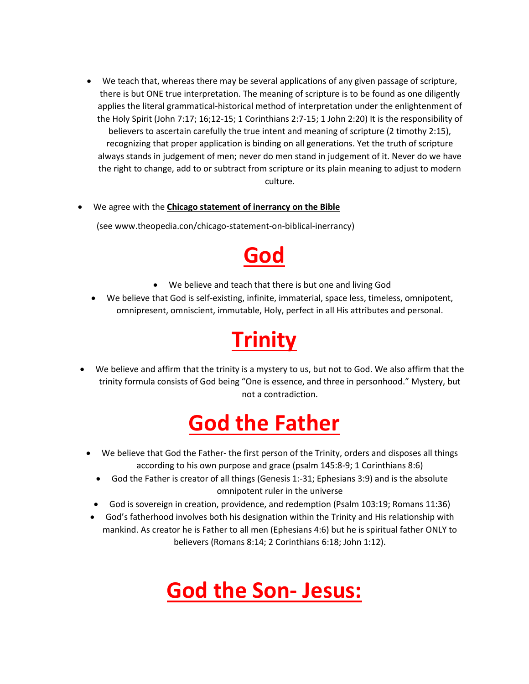- We teach that, whereas there may be several applications of any given passage of scripture, there is but ONE true interpretation. The meaning of scripture is to be found as one diligently applies the literal grammatical-historical method of interpretation under the enlightenment of the Holy Spirit (John 7:17; 16;12-15; 1 Corinthians 2:7-15; 1 John 2:20) It is the responsibility of believers to ascertain carefully the true intent and meaning of scripture (2 timothy 2:15), recognizing that proper application is binding on all generations. Yet the truth of scripture always stands in judgement of men; never do men stand in judgement of it. Never do we have the right to change, add to or subtract from scripture or its plain meaning to adjust to modern culture.
- We agree with the **Chicago statement of inerrancy on the Bible**

(see [www.theopedia.con/chicago-statement-on-biblical-inerrancy\)](http://www.theopedia.con/chicago-statement-on-biblical-inerrancy)



- We believe and teach that there is but one and living God
- We believe that God is self-existing, infinite, immaterial, space less, timeless, omnipotent, omnipresent, omniscient, immutable, Holy, perfect in all His attributes and personal.

## **Trinity**

• We believe and affirm that the trinity is a mystery to us, but not to God. We also affirm that the trinity formula consists of God being "One is essence, and three in personhood." Mystery, but not a contradiction.

## **God the Father**

- We believe that God the Father- the first person of the Trinity, orders and disposes all things according to his own purpose and grace (psalm 145:8-9; 1 Corinthians 8:6)
	- God the Father is creator of all things (Genesis 1:-31; Ephesians 3:9) and is the absolute omnipotent ruler in the universe
- God is sovereign in creation, providence, and redemption (Psalm 103:19; Romans 11:36)
- God's fatherhood involves both his designation within the Trinity and His relationship with mankind. As creator he is Father to all men (Ephesians 4:6) but he is spiritual father ONLY to believers (Romans 8:14; 2 Corinthians 6:18; John 1:12).

## **God the Son- Jesus:**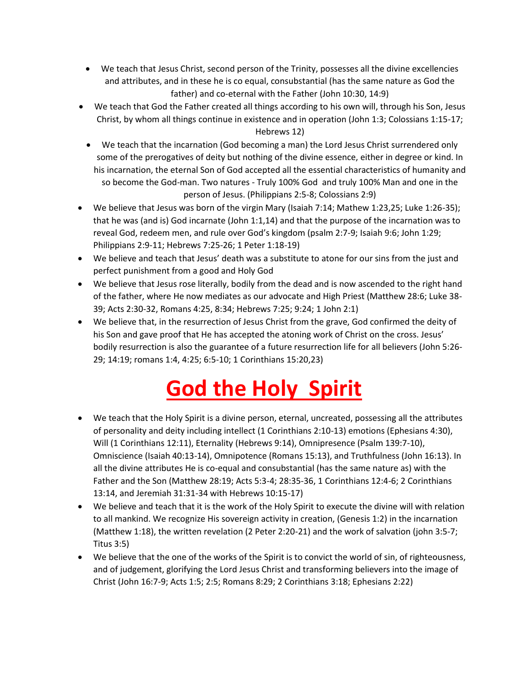- We teach that Jesus Christ, second person of the Trinity, possesses all the divine excellencies and attributes, and in these he is co equal, consubstantial (has the same nature as God the father) and co-eternal with the Father (John 10:30, 14:9)
- We teach that God the Father created all things according to his own will, through his Son, Jesus Christ, by whom all things continue in existence and in operation (John 1:3; Colossians 1:15-17; Hebrews 12)
- We teach that the incarnation (God becoming a man) the Lord Jesus Christ surrendered only some of the prerogatives of deity but nothing of the divine essence, either in degree or kind. In his incarnation, the eternal Son of God accepted all the essential characteristics of humanity and so become the God-man. Two natures - Truly 100% God and truly 100% Man and one in the person of Jesus. (Philippians 2:5-8; Colossians 2:9)
- We believe that Jesus was born of the virgin Mary (Isaiah 7:14; Mathew 1:23,25; Luke 1:26-35); that he was (and is) God incarnate (John 1:1,14) and that the purpose of the incarnation was to reveal God, redeem men, and rule over God's kingdom (psalm 2:7-9; Isaiah 9:6; John 1:29; Philippians 2:9-11; Hebrews 7:25-26; 1 Peter 1:18-19)
- We believe and teach that Jesus' death was a substitute to atone for our sins from the just and perfect punishment from a good and Holy God
- We believe that Jesus rose literally, bodily from the dead and is now ascended to the right hand of the father, where He now mediates as our advocate and High Priest (Matthew 28:6; Luke 38- 39; Acts 2:30-32, Romans 4:25, 8:34; Hebrews 7:25; 9:24; 1 John 2:1)
- We believe that, in the resurrection of Jesus Christ from the grave, God confirmed the deity of his Son and gave proof that He has accepted the atoning work of Christ on the cross. Jesus' bodily resurrection is also the guarantee of a future resurrection life for all believers (John 5:26- 29; 14:19; romans 1:4, 4:25; 6:5-10; 1 Corinthians 15:20,23)

# **God the Holy Spirit**

- We teach that the Holy Spirit is a divine person, eternal, uncreated, possessing all the attributes of personality and deity including intellect (1 Corinthians 2:10-13) emotions (Ephesians 4:30), Will (1 Corinthians 12:11), Eternality (Hebrews 9:14), Omnipresence (Psalm 139:7-10), Omniscience (Isaiah 40:13-14), Omnipotence (Romans 15:13), and Truthfulness (John 16:13). In all the divine attributes He is co-equal and consubstantial (has the same nature as) with the Father and the Son (Matthew 28:19; Acts 5:3-4; 28:35-36, 1 Corinthians 12:4-6; 2 Corinthians 13:14, and Jeremiah 31:31-34 with Hebrews 10:15-17)
- We believe and teach that it is the work of the Holy Spirit to execute the divine will with relation to all mankind. We recognize His sovereign activity in creation, (Genesis 1:2) in the incarnation (Matthew 1:18), the written revelation (2 Peter 2:20-21) and the work of salvation (john 3:5-7; Titus 3:5)
- We believe that the one of the works of the Spirit is to convict the world of sin, of righteousness, and of judgement, glorifying the Lord Jesus Christ and transforming believers into the image of Christ (John 16:7-9; Acts 1:5; 2:5; Romans 8:29; 2 Corinthians 3:18; Ephesians 2:22)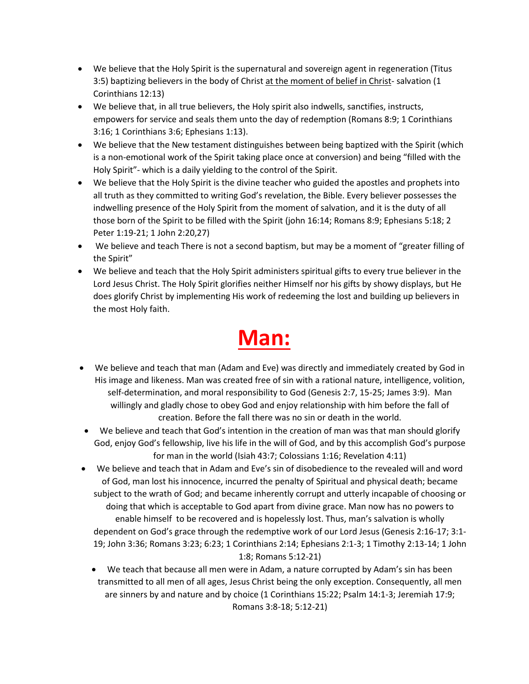- We believe that the Holy Spirit is the supernatural and sovereign agent in regeneration (Titus 3:5) baptizing believers in the body of Christ at the moment of belief in Christ- salvation (1 Corinthians 12:13)
- We believe that, in all true believers, the Holy spirit also indwells, sanctifies, instructs, empowers for service and seals them unto the day of redemption (Romans 8:9; 1 Corinthians 3:16; 1 Corinthians 3:6; Ephesians 1:13).
- We believe that the New testament distinguishes between being baptized with the Spirit (which is a non-emotional work of the Spirit taking place once at conversion) and being "filled with the Holy Spirit"- which is a daily yielding to the control of the Spirit.
- We believe that the Holy Spirit is the divine teacher who guided the apostles and prophets into all truth as they committed to writing God's revelation, the Bible. Every believer possesses the indwelling presence of the Holy Spirit from the moment of salvation, and it is the duty of all those born of the Spirit to be filled with the Spirit (john 16:14; Romans 8:9; Ephesians 5:18; 2 Peter 1:19-21; 1 John 2:20,27)
- We believe and teach There is not a second baptism, but may be a moment of "greater filling of the Spirit"
- We believe and teach that the Holy Spirit administers spiritual gifts to every true believer in the Lord Jesus Christ. The Holy Spirit glorifies neither Himself nor his gifts by showy displays, but He does glorify Christ by implementing His work of redeeming the lost and building up believers in the most Holy faith.

## **Man:**

- We believe and teach that man (Adam and Eve) was directly and immediately created by God in His image and likeness. Man was created free of sin with a rational nature, intelligence, volition, self-determination, and moral responsibility to God (Genesis 2:7, 15-25; James 3:9). Man willingly and gladly chose to obey God and enjoy relationship with him before the fall of creation. Before the fall there was no sin or death in the world.
- We believe and teach that God's intention in the creation of man was that man should glorify God, enjoy God's fellowship, live his life in the will of God, and by this accomplish God's purpose for man in the world (Isiah 43:7; Colossians 1:16; Revelation 4:11)
- We believe and teach that in Adam and Eve's sin of disobedience to the revealed will and word of God, man lost his innocence, incurred the penalty of Spiritual and physical death; became subject to the wrath of God; and became inherently corrupt and utterly incapable of choosing or doing that which is acceptable to God apart from divine grace. Man now has no powers to enable himself to be recovered and is hopelessly lost. Thus, man's salvation is wholly dependent on God's grace through the redemptive work of our Lord Jesus (Genesis 2:16-17; 3:1- 19; John 3:36; Romans 3:23; 6:23; 1 Corinthians 2:14; Ephesians 2:1-3; 1 Timothy 2:13-14; 1 John 1:8; Romans 5:12-21)
	- We teach that because all men were in Adam, a nature corrupted by Adam's sin has been transmitted to all men of all ages, Jesus Christ being the only exception. Consequently, all men are sinners by and nature and by choice (1 Corinthians 15:22; Psalm 14:1-3; Jeremiah 17:9; Romans 3:8-18; 5:12-21)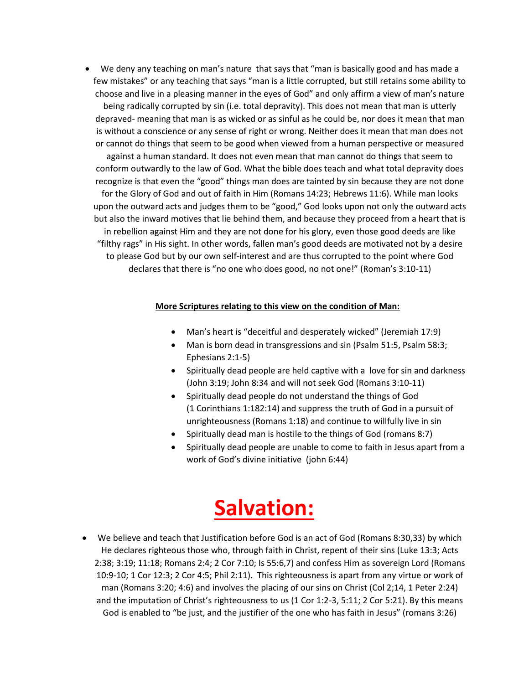• We deny any teaching on man's nature that says that "man is basically good and has made a few mistakes" or any teaching that says "man is a little corrupted, but still retains some ability to choose and live in a pleasing manner in the eyes of God" and only affirm a view of man's nature

being radically corrupted by sin (i.e. total depravity). This does not mean that man is utterly depraved- meaning that man is as wicked or as sinful as he could be, nor does it mean that man is without a conscience or any sense of right or wrong. Neither does it mean that man does not or cannot do things that seem to be good when viewed from a human perspective or measured

against a human standard. It does not even mean that man cannot do things that seem to conform outwardly to the law of God. What the bible does teach and what total depravity does recognize is that even the "good" things man does are tainted by sin because they are not done for the Glory of God and out of faith in Him (Romans 14:23; Hebrews 11:6). While man looks upon the outward acts and judges them to be "good," God looks upon not only the outward acts but also the inward motives that lie behind them, and because they proceed from a heart that is in rebellion against Him and they are not done for his glory, even those good deeds are like "filthy rags" in His sight. In other words, fallen man's good deeds are motivated not by a desire to please God but by our own self-interest and are thus corrupted to the point where God declares that there is "no one who does good, no not one!" (Roman's 3:10-11)

#### **More Scriptures relating to this view on the condition of Man:**

- Man's heart is "deceitful and desperately wicked" (Jeremiah 17:9)
- Man is born dead in transgressions and sin (Psalm 51:5, Psalm 58:3; Ephesians 2:1-5)
- Spiritually dead people are held captive with a love for sin and darkness (John 3:19; John 8:34 and will not seek God (Romans 3:10-11)
- Spiritually dead people do not understand the things of God (1 Corinthians 1:182:14) and suppress the truth of God in a pursuit of unrighteousness (Romans 1:18) and continue to willfully live in sin
- Spiritually dead man is hostile to the things of God (romans 8:7)
- Spiritually dead people are unable to come to faith in Jesus apart from a work of God's divine initiative (john 6:44)

### **Salvation:**

• We believe and teach that Justification before God is an act of God (Romans 8:30,33) by which He declares righteous those who, through faith in Christ, repent of their sins (Luke 13:3; Acts 2:38; 3:19; 11:18; Romans 2:4; 2 Cor 7:10; Is 55:6,7) and confess Him as sovereign Lord (Romans 10:9-10; 1 Cor 12:3; 2 Cor 4:5; Phil 2:11). This righteousness is apart from any virtue or work of man (Romans 3:20; 4:6) and involves the placing of our sins on Christ (Col 2;14, 1 Peter 2:24) and the imputation of Christ's righteousness to us (1 Cor 1:2-3, 5:11; 2 Cor 5:21). By this means God is enabled to "be just, and the justifier of the one who has faith in Jesus" (romans 3:26)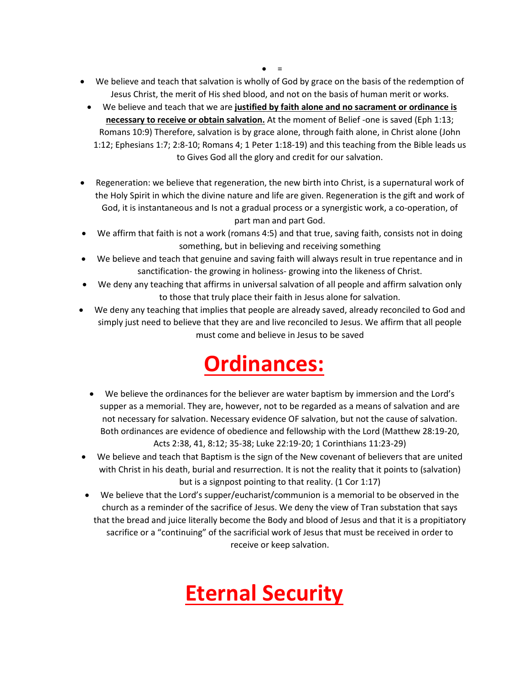$\bullet$  =

- We believe and teach that salvation is wholly of God by grace on the basis of the redemption of Jesus Christ, the merit of His shed blood, and not on the basis of human merit or works.
	- We believe and teach that we are **justified by faith alone and no sacrament or ordinance is necessary to receive or obtain salvation.** At the moment of Belief -one is saved (Eph 1:13; Romans 10:9) Therefore, salvation is by grace alone, through faith alone, in Christ alone (John 1:12; Ephesians 1:7; 2:8-10; Romans 4; 1 Peter 1:18-19) and this teaching from the Bible leads us to Gives God all the glory and credit for our salvation.
- Regeneration: we believe that regeneration, the new birth into Christ, is a supernatural work of the Holy Spirit in which the divine nature and life are given. Regeneration is the gift and work of God, it is instantaneous and Is not a gradual process or a synergistic work, a co-operation, of part man and part God.
- We affirm that faith is not a work (romans 4:5) and that true, saving faith, consists not in doing something, but in believing and receiving something
- We believe and teach that genuine and saving faith will always result in true repentance and in sanctification- the growing in holiness- growing into the likeness of Christ.
- We deny any teaching that affirms in universal salvation of all people and affirm salvation only to those that truly place their faith in Jesus alone for salvation.
- We deny any teaching that implies that people are already saved, already reconciled to God and simply just need to believe that they are and live reconciled to Jesus. We affirm that all people must come and believe in Jesus to be saved

## **Ordinances:**

- We believe the ordinances for the believer are water baptism by immersion and the Lord's supper as a memorial. They are, however, not to be regarded as a means of salvation and are not necessary for salvation. Necessary evidence OF salvation, but not the cause of salvation. Both ordinances are evidence of obedience and fellowship with the Lord (Matthew 28:19-20, Acts 2:38, 41, 8:12; 35-38; Luke 22:19-20; 1 Corinthians 11:23-29)
- We believe and teach that Baptism is the sign of the New covenant of believers that are united with Christ in his death, burial and resurrection. It is not the reality that it points to (salvation) but is a signpost pointing to that reality. (1 Cor 1:17)
- We believe that the Lord's supper/eucharist/communion is a memorial to be observed in the church as a reminder of the sacrifice of Jesus. We deny the view of Tran substation that says that the bread and juice literally become the Body and blood of Jesus and that it is a propitiatory sacrifice or a "continuing" of the sacrificial work of Jesus that must be received in order to receive or keep salvation.

## **Eternal Security**